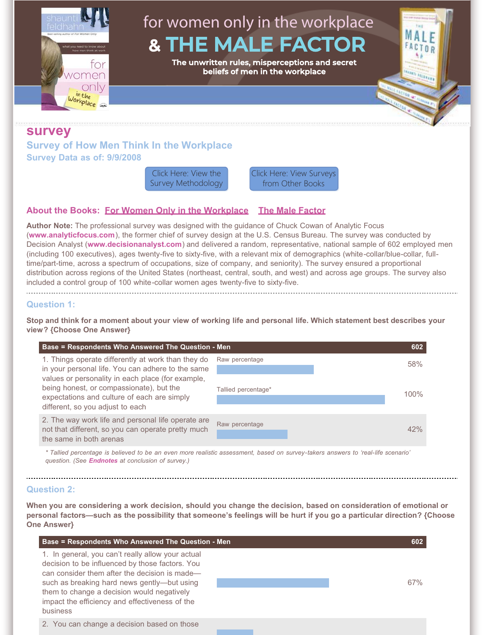for women only in the workplace MАI **& THE MALE FACTOR** ACTOR **The unwritten rules, misperceptions and secret beliefs of men in the workplace**ing para ∩Ar on inthe

# **survey**

orkplace

**Survey of How Men Think In the Workplace Survey Data as of: 9/9/2008**

Click Here: View the [Survey Methodology](https://shaunti.com/research/research-methodology-books-male-factor-women-workplace/) [Click Here: View Surveys](#page-8-0) from Other Books

# **About the Books: [For Women Only in the Workplace](http://www.shaunti.com/book/for-women-only-in-the-workplace/) [The Male Factor](http://www.shaunti.com/book/the-male-factor/)**

**Author Note:** The professional survey was designed with the guidance of Chuck Cowan of Analytic Focus (**[www.analyticfocus.com](http://www.analyticfocus.com/)**), the former chief of survey design at the U.S. Census Bureau. The survey was conducted by Decision Analyst (**[www.decisionanalyst.com](http://www.decisionanalyst.com/)**) and delivered a random, representative, national sample of 602 employed men (including 100 executives), ages twenty-five to sixty-five, with a relevant mix of demographics (white-collar/blue-collar, fulltime/part-time, across a spectrum of occupations, size of company, and seniority). The survey ensured a proportional distribution across regions of the United States (northeast, central, south, and west) and across age groups. The survey also included a control group of 100 white-collar women ages twenty-five to sixty-five.

# **Question 1:**

**Stop and think for a moment about your view of working life and personal life. Which statement best describes your view? {Choose One Answer}**

| Base = Respondents Who Answered The Question - Men                                                                                                                               |                     | 602  |
|----------------------------------------------------------------------------------------------------------------------------------------------------------------------------------|---------------------|------|
| 1. Things operate differently at work than they do<br>in your personal life. You can adhere to the same                                                                          | Raw percentage      | 58%  |
| values or personality in each place (for example,<br>being honest, or compassionate), but the<br>expectations and culture of each are simply<br>different, so you adjust to each | Tallied percentage* | 100% |
| 2. The way work life and personal life operate are<br>not that different, so you can operate pretty much<br>the same in both arenas                                              | Raw percentage      | 42%  |

*\* Tallied percentage is believed to be an even more realistic assessment, based on survey-takers answers to 'real-life scenario' question. (See [Endnotes](#page-7-0) at conclusion of survey.)*

# **Question 2:**

**When you are considering a work decision, should you change the decision, based on consideration of emotional or personal factors—such as the possibility that someone's feelings will be hurt if you go a particular direction? {Choose One Answer}**

| Base = Respondents Who Answered The Question - Men                                                                                                                                                                                                                                                               | 602 |
|------------------------------------------------------------------------------------------------------------------------------------------------------------------------------------------------------------------------------------------------------------------------------------------------------------------|-----|
| 1. In general, you can't really allow your actual<br>decision to be influenced by those factors. You<br>can consider them after the decision is made-<br>such as breaking hard news gently—but using<br>them to change a decision would negatively<br>impact the efficiency and effectiveness of the<br>business | 67% |
| 2. You can change a decision based on those                                                                                                                                                                                                                                                                      |     |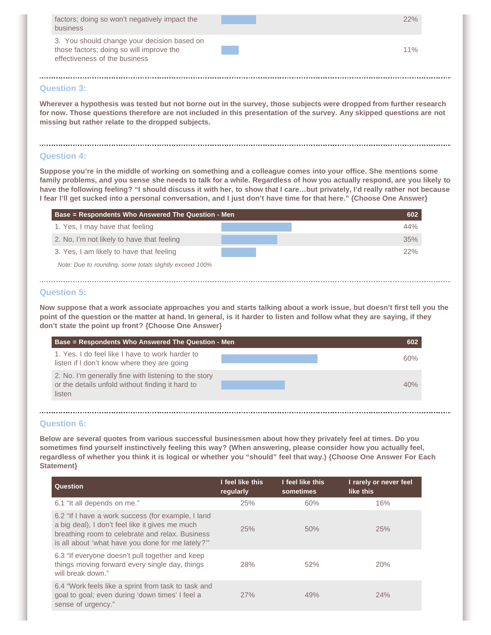| factors; doing so won't negatively impact the<br>business                                                                | 22% |
|--------------------------------------------------------------------------------------------------------------------------|-----|
| 3. You should change your decision based on<br>those factors; doing so will improve the<br>effectiveness of the business | 11% |

# **Question 3:**

**Wherever a hypothesis was tested but not borne out in the survey, those subjects were dropped from further research for now. Those questions therefore are not included in this presentation of the survey. Any skipped questions are not missing but rather relate to the dropped subjects.**

# **Question 4:**

**Suppose you're in the middle of working on something and a colleague comes into your office. She mentions some family problems, and you sense she needs to talk for a while. Regardless of how you actually respond, are you likely to have the following feeling? "I should discuss it with her, to show that I care…but privately, I'd really rather not because I fear I'll get sucked into a personal conversation, and I just don't have time for that here." {Choose One Answer}**

| Base = Respondents Who Answered The Question - Men      | 602 |
|---------------------------------------------------------|-----|
| 1. Yes, I may have that feeling                         | 44% |
| 2. No, I'm not likely to have that feeling              | 35% |
| 3. Yes, I am likely to have that feeling                | 22% |
| Note: Due to rounding, some totals slightly exceed 100% |     |

#### **Question 5:**

**Now suppose that a work associate approaches you and starts talking about a work issue, but doesn't first tell you the point of the question or the matter at hand. In general, is it harder to listen and follow what they are saying, if they don't state the point up front? {Choose One Answer}**

| Base = Respondents Who Answered The Question - Men                                                                  | 602 |
|---------------------------------------------------------------------------------------------------------------------|-----|
| 1. Yes. I do feel like I have to work harder to<br>listen if I don't know where they are going                      | 60% |
| 2. No. I'm generally fine with listening to the story<br>or the details unfold without finding it hard to<br>listen | 40% |

#### **Question 6:**

**Below are several quotes from various successful businessmen about how they privately feel at times. Do you sometimes find yourself instinctively feeling this way? (When answering, please consider how you actually feel, regardless of whether you think it is logical or whether you "should" feel that way.) {Choose One Answer For Each Statement}**

| <b>Question</b>                                                                                                                                                                                              | I feel like this<br>regularly | I feel like this<br>sometimes | I rarely or never feel<br>like this |
|--------------------------------------------------------------------------------------------------------------------------------------------------------------------------------------------------------------|-------------------------------|-------------------------------|-------------------------------------|
| 6.1 "It all depends on me."                                                                                                                                                                                  | 25%                           | 60%                           | 16%                                 |
| 6.2 "If I have a work success (for example, I land<br>a big deal), I don't feel like it gives me much<br>breathing room to celebrate and relax. Business<br>is all about 'what have you done for me lately?" | 25%                           | 50%                           | 25%                                 |
| 6.3 "If everyone doesn't pull together and keep<br>things moving forward every single day, things<br>will break down."                                                                                       | 28%                           | 52%                           | 20%                                 |
| 6.4 "Work feels like a sprint from task to task and<br>goal to goal; even during 'down times' I feel a<br>sense of urgency."                                                                                 | 27%                           | 49%                           | 24%                                 |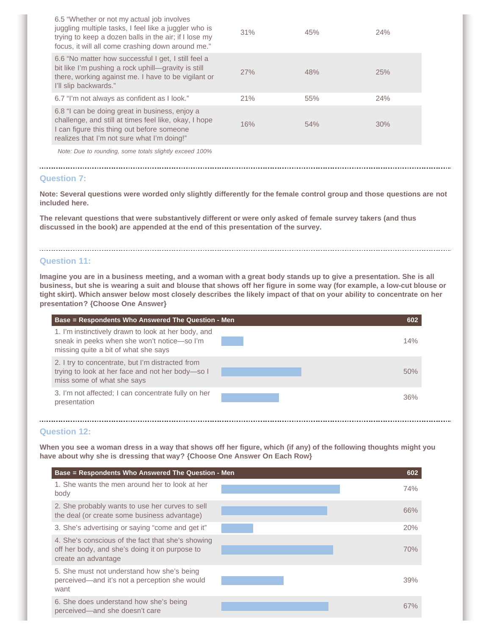| 6.5 "Whether or not my actual job involves<br>juggling multiple tasks, I feel like a juggler who is<br>trying to keep a dozen balls in the air; if I lose my<br>focus, it will all come crashing down around me." | 31% | 45% | 24% |
|-------------------------------------------------------------------------------------------------------------------------------------------------------------------------------------------------------------------|-----|-----|-----|
| 6.6 "No matter how successful I get, I still feel a<br>bit like I'm pushing a rock uphill—gravity is still<br>there, working against me. I have to be vigilant or<br>I'll slip backwards."                        | 27% | 48% | 25% |
| 6.7 "I'm not always as confident as I look."                                                                                                                                                                      | 21% | 55% | 24% |
| 6.8 "I can be doing great in business, enjoy a<br>challenge, and still at times feel like, okay, I hope<br>I can figure this thing out before someone<br>realizes that I'm not sure what I'm doing!"              | 16% | 54% | 30% |
| Note: Due to rounding, some totals slightly exceed 100%                                                                                                                                                           |     |     |     |

## **Question 7:**

**Note: Several questions were worded only slightly differently for the female control group and those questions are not included here.**

**The relevant questions that were substantively different or were only asked of female survey takers (and thus discussed in the book) are appended at the end of this presentation of the survey.**

## **Question 11:**

**Imagine you are in a business meeting, and a woman with a great body stands up to give a presentation. She is all business, but she is wearing a suit and blouse that shows off her figure in some way (for example, a low-cut blouse or tight skirt). Which answer below most closely describes the likely impact of that on your ability to concentrate on her presentation? {Choose One Answer}**

| Base = Respondents Who Answered The Question - Men                                                                                         | 602 |
|--------------------------------------------------------------------------------------------------------------------------------------------|-----|
| 1. I'm instinctively drawn to look at her body, and<br>sneak in peeks when she won't notice-so I'm<br>missing quite a bit of what she says | 14% |
| 2. I try to concentrate, but I'm distracted from<br>trying to look at her face and not her body-so I<br>miss some of what she says         | 50% |
| 3. I'm not affected; I can concentrate fully on her<br>presentation                                                                        | 36% |

# **Question 12:**

**When you see a woman dress in a way that shows off her figure, which (if any) of the following thoughts might you have about why she is dressing that way? {Choose One Answer On Each Row}**

| Base = Respondents Who Answered The Question - Men                                                                         | 602 |
|----------------------------------------------------------------------------------------------------------------------------|-----|
| 1. She wants the men around her to look at her<br>body                                                                     | 74% |
| 2. She probably wants to use her curves to sell<br>the deal (or create some business advantage)                            | 66% |
| 3. She's advertising or saying "come and get it"                                                                           | 20% |
| 4. She's conscious of the fact that she's showing<br>off her body, and she's doing it on purpose to<br>create an advantage | 70% |
| 5. She must not understand how she's being<br>perceived-and it's not a perception she would<br>want                        | 39% |
| 6. She does understand how she's being<br>perceived—and she doesn't care                                                   | 67% |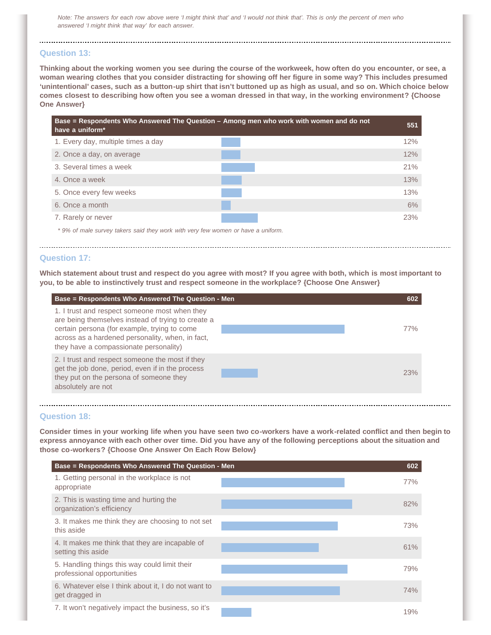*Note: The answers for each row above were 'I might think that' and 'I would not think that'. This is only the percent of men who answered 'I might think that way' for each answer.*

## **Question 13:**

**Thinking about the working women you see during the course of the workweek, how often do you encounter, or see, a woman wearing clothes that you consider distracting for showing off her figure in some way? This includes presumed 'unintentional' cases, such as a button-up shirt that isn't buttoned up as high as usual, and so on. Which choice below comes closest to describing how often you see a woman dressed in that way, in the working environment? {Choose One Answer}**



#### **Question 17:**

**Which statement about trust and respect do you agree with most? If you agree with both, which is most important to you, to be able to instinctively trust and respect someone in the workplace? {Choose One Answer}**

| Base = Respondents Who Answered The Question - Men                                                                                                                                                                                                | 602        |
|---------------------------------------------------------------------------------------------------------------------------------------------------------------------------------------------------------------------------------------------------|------------|
| 1. I trust and respect someone most when they<br>are being themselves instead of trying to create a<br>certain persona (for example, trying to come<br>across as a hardened personality, when, in fact,<br>they have a compassionate personality) | <b>77%</b> |
| 2. I trust and respect someone the most if they<br>get the job done, period, even if in the process<br>they put on the persona of someone they<br>absolutely are not                                                                              | 23%        |

#### **Question 18:**

**Consider times in your working life when you have seen two co-workers have a work-related conflict and then begin to express annoyance with each other over time. Did you have any of the following perceptions about the situation and those co-workers? {Choose One Answer On Each Row Below}**

| Base = Respondents Who Answered The Question - Men                          | 602 |
|-----------------------------------------------------------------------------|-----|
| 1. Getting personal in the workplace is not<br>appropriate                  | 77% |
| 2. This is wasting time and hurting the<br>organization's efficiency        | 82% |
| 3. It makes me think they are choosing to not set<br>this aside             | 73% |
| 4. It makes me think that they are incapable of<br>setting this aside       | 61% |
| 5. Handling things this way could limit their<br>professional opportunities | 79% |
| 6. Whatever else I think about it, I do not want to<br>get dragged in       | 74% |
| 7. It won't negatively impact the business, so it's                         | 19% |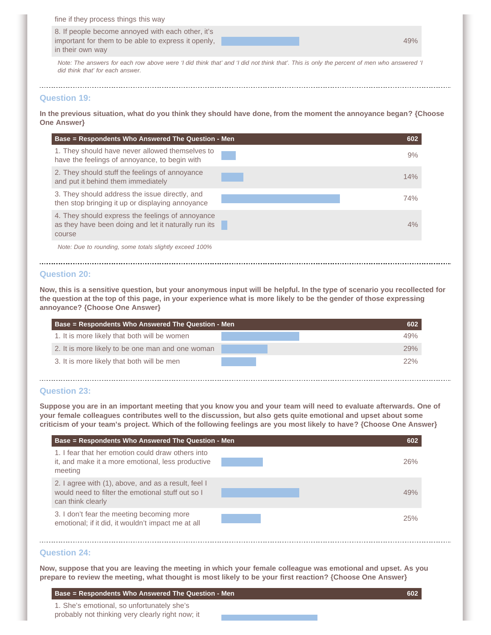| fine if they process things this way                |     |
|-----------------------------------------------------|-----|
| 8. If people become annoyed with each other, it's   |     |
| important for them to be able to express it openly. | 49% |
| in their own way                                    |     |

*Note: The answers for each row above were 'I did think that' and 'I did not think that'. This is only the percent of men who answered 'I did think that' for each answer.*

## **Question 19:**

**In the previous situation, what do you think they should have done, from the moment the annoyance began? {Choose One Answer}**

| Base = Respondents Who Answered The Question - Men                                                                 | 602 |
|--------------------------------------------------------------------------------------------------------------------|-----|
| 1. They should have never allowed themselves to<br>have the feelings of annoyance, to begin with                   | 9%  |
| 2. They should stuff the feelings of annoyance<br>and put it behind them immediately                               | 14% |
| 3. They should address the issue directly, and<br>then stop bringing it up or displaying annoyance                 | 74% |
| 4. They should express the feelings of annoyance<br>as they have been doing and let it naturally run its<br>course | 4%  |
| Note: Due to rounding, some totals slightly exceed 100%                                                            |     |
|                                                                                                                    |     |

# **Question 20:**

**Now, this is a sensitive question, but your anonymous input will be helpful. In the type of scenario you recollected for the question at the top of this page, in your experience what is more likely to be the gender of those expressing annoyance? {Choose One Answer}**

| <b>Base = Respondents Who Answered The Question - Men</b> |  | 602 |
|-----------------------------------------------------------|--|-----|
| 1. It is more likely that both will be women              |  | 49% |
| 2. It is more likely to be one man and one woman          |  | 29% |
| 3. It is more likely that both will be men                |  | 22% |
|                                                           |  |     |

# **Question 23:**

**Suppose you are in an important meeting that you know you and your team will need to evaluate afterwards. One of your female colleagues contributes well to the discussion, but also gets quite emotional and upset about some criticism of your team's project. Which of the following feelings are you most likely to have? {Choose One Answer}**

| Base = Respondents Who Answered The Question - Men                                                                            | 602 |
|-------------------------------------------------------------------------------------------------------------------------------|-----|
| 1. I fear that her emotion could draw others into<br>it, and make it a more emotional, less productive<br>meeting             | 26% |
| 2. I agree with (1), above, and as a result, feel I<br>would need to filter the emotional stuff out so I<br>can think clearly | 49% |
| 3. I don't fear the meeting becoming more<br>emotional; if it did, it wouldn't impact me at all                               | 25% |

# **Question 24:**

**Now, suppose that you are leaving the meeting in which your female colleague was emotional and upset. As you prepare to review the meeting, what thought is most likely to be your first reaction? {Choose One Answer}**

**Base = Respondents Who Answered The Question - Men 602**

1. She's emotional, so unfortunately she's

probably not thinking very clearly right now; it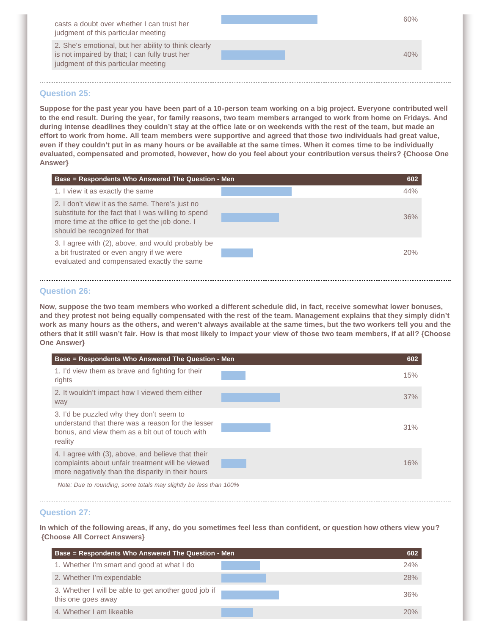| casts a doubt over whether I can trust her<br>judgment of this particular meeting                                                             |  | 60% |
|-----------------------------------------------------------------------------------------------------------------------------------------------|--|-----|
| 2. She's emotional, but her ability to think clearly<br>is not impaired by that; I can fully trust her<br>judgment of this particular meeting |  |     |
|                                                                                                                                               |  |     |

## **Question 25:**

**Suppose for the past year you have been part of a 10-person team working on a big project. Everyone contributed well to the end result. During the year, for family reasons, two team members arranged to work from home on Fridays. And during intense deadlines they couldn't stay at the office late or on weekends with the rest of the team, but made an effort to work from home. All team members were supportive and agreed that those two individuals had great value, even if they couldn't put in as many hours or be available at the same times. When it comes time to be individually evaluated, compensated and promoted, however, how do you feel about your contribution versus theirs? {Choose One Answer}**

| <b>Base = Respondents Who Answered The Question - Men</b>                                                                                                                                 |  | 602 |
|-------------------------------------------------------------------------------------------------------------------------------------------------------------------------------------------|--|-----|
| 1. I view it as exactly the same                                                                                                                                                          |  | 44% |
| 2. I don't view it as the same. There's just no<br>substitute for the fact that I was willing to spend<br>more time at the office to get the job done. I<br>should be recognized for that |  | 36% |
| 3. I agree with (2), above, and would probably be<br>a bit frustrated or even angry if we were<br>evaluated and compensated exactly the same                                              |  | 20% |

## **Question 26:**

**Now, suppose the two team members who worked a different schedule did, in fact, receive somewhat lower bonuses, and they protest not being equally compensated with the rest of the team. Management explains that they simply didn't work as many hours as the others, and weren't always available at the same times, but the two workers tell you and the others that it still wasn't fair. How is that most likely to impact your view of those two team members, if at all? {Choose One Answer}**

| Base = Respondents Who Answered The Question - Men                                                                                                          | 602 |
|-------------------------------------------------------------------------------------------------------------------------------------------------------------|-----|
| 1. I'd view them as brave and fighting for their<br>rights                                                                                                  | 15% |
| 2. It wouldn't impact how I viewed them either<br>way                                                                                                       | 37% |
| 3. I'd be puzzled why they don't seem to<br>understand that there was a reason for the lesser<br>bonus, and view them as a bit out of touch with<br>reality | 31% |
| 4. I agree with (3), above, and believe that their<br>complaints about unfair treatment will be viewed<br>more negatively than the disparity in their hours | 16% |
| Note: Due to rounding, some totals may slightly be less than 100%                                                                                           |     |

#### **Question 27:**

**In which of the following areas, if any, do you sometimes feel less than confident, or question how others view you? {Choose All Correct Answers}**

| Base = Respondents Who Answered The Question - Men                         | 602 |
|----------------------------------------------------------------------------|-----|
| 1. Whether I'm smart and good at what I do                                 | 24% |
| 2. Whether I'm expendable                                                  | 28% |
| 3. Whether I will be able to get another good job if<br>this one goes away | 36% |
| 4. Whether I am likeable                                                   | 20% |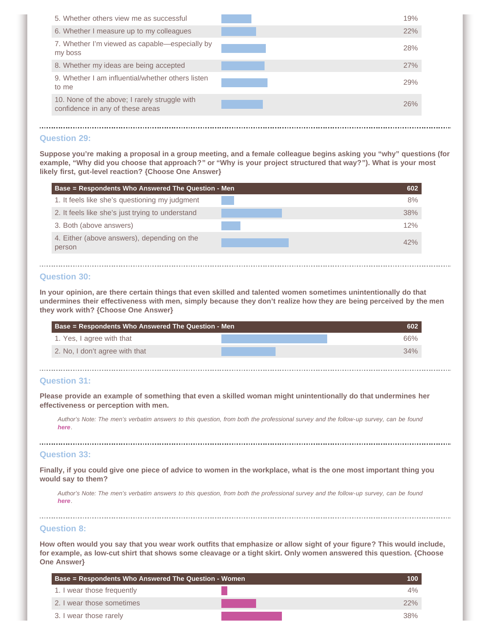| 5. Whether others view me as successful                                           | 19% |
|-----------------------------------------------------------------------------------|-----|
| 6. Whether I measure up to my colleagues                                          | 22% |
| 7. Whether I'm viewed as capable-especially by<br>my boss                         | 28% |
| 8. Whether my ideas are being accepted                                            | 27% |
| 9. Whether I am influential/whether others listen<br>to me                        | 29% |
| 10. None of the above; I rarely struggle with<br>confidence in any of these areas | 26% |
|                                                                                   |     |

# **Question 29:**

**Suppose you're making a proposal in a group meeting, and a female colleague begins asking you "why" questions (for example, "Why did you choose that approach?" or "Why is your project structured that way?"). What is your most likely first, gut-level reaction? {Choose One Answer}**

| Base = Respondents Who Answered The Question - Men    | 602 |
|-------------------------------------------------------|-----|
| 1. It feels like she's questioning my judgment        | 8%  |
| 2. It feels like she's just trying to understand      | 38% |
| 3. Both (above answers)                               | 12% |
| 4. Either (above answers), depending on the<br>person | 42% |

#### **Question 30:**

**In your opinion, are there certain things that even skilled and talented women sometimes unintentionally do that undermines their effectiveness with men, simply because they don't realize how they are being perceived by the men they work with? {Choose One Answer}**

| <b>Base = Respondents Who Answered The Question - Men</b> | 602 |
|-----------------------------------------------------------|-----|
| 1. Yes, I agree with that                                 | 66% |
| 2. No, I don't agree with that                            | 34% |

# **Question 31:**

**Please provide an example of something that even a skilled woman might unintentionally do that undermines her effectiveness or perception with men.**

*Author's Note: The men's verbatim answers to this question, from both the professional survey and the follow-up survey, can be found [here](http://www.shaunti.com/research/survey-mens-responses-to-how-men-think-in-the-workplace/).*

#### **Question 33:**

**Finally, if you could give one piece of advice to women in the workplace, what is the one most important thing you would say to them?**

*Author's Note: The men's verbatim answers to this question, from both the professional survey and the follow-up survey, can be found [here](http://www.shaunti.com/research/survey-mens-responses-to-how-men-think-in-the-workplace/).*

#### **Question 8:**

**How often would you say that you wear work outfits that emphasize or allow sight of your figure? This would include, for example, as low-cut shirt that shows some cleavage or a tight skirt. Only women answered this question. {Choose One Answer}**

| <b>Base = Respondents Who Answered The Question - Women</b> |     |
|-------------------------------------------------------------|-----|
| 1. I wear those frequently                                  | 4%  |
| 2. I wear those sometimes                                   | 22% |
| 3. I wear those rarely                                      | 38% |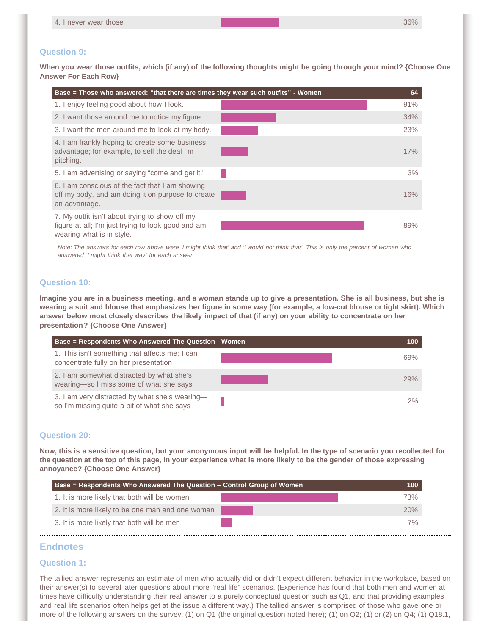| 4. I never wear those | 36% |
|-----------------------|-----|

#### **Question 9:**

**When you wear those outfits, which (if any) of the following thoughts might be going through your mind? {Choose One Answer For Each Row}**

| Base = Those who answered: "that there are times they wear such outfits" - Women                                                  | 64  |
|-----------------------------------------------------------------------------------------------------------------------------------|-----|
| 1. I enjoy feeling good about how I look.                                                                                         | 91% |
| 2. I want those around me to notice my figure.                                                                                    | 34% |
| 3. I want the men around me to look at my body.                                                                                   | 23% |
| 4. I am frankly hoping to create some business<br>advantage; for example, to sell the deal I'm<br>pitching.                       | 17% |
| 5. I am advertising or saying "come and get it."                                                                                  | 3%  |
| 6. I am conscious of the fact that I am showing<br>off my body, and am doing it on purpose to create<br>an advantage.             | 16% |
| 7. My outfit isn't about trying to show off my<br>figure at all; I'm just trying to look good and am<br>wearing what is in style. | 89% |

*Note: The answers for each row above were 'I might think that' and 'I would not think that'. This is only the percent of women who answered 'I might think that way' for each answer.*

#### **Question 10:**

**Imagine you are in a business meeting, and a woman stands up to give a presentation. She is all business, but she is wearing a suit and blouse that emphasizes her figure in some way (for example, a low-cut blouse or tight skirt). Which answer below most closely describes the likely impact of that (if any) on your ability to concentrate on her presentation? {Choose One Answer}**

| Base = Respondents Who Answered The Question - Women                                          | 100 |
|-----------------------------------------------------------------------------------------------|-----|
| 1. This isn't something that affects me; I can<br>concentrate fully on her presentation       | 69% |
| 2. I am somewhat distracted by what she's<br>wearing-so I miss some of what she says          | 29% |
| 3. I am very distracted by what she's wearing-<br>so I'm missing quite a bit of what she says | 2%  |

#### **Question 20:**

**Now, this is a sensitive question, but your anonymous input will be helpful. In the type of scenario you recollected for the question at the top of this page, in your experience what is more likely to be the gender of those expressing annoyance? {Choose One Answer}**

| <b>Base = Respondents Who Answered The Question – Control Group of Women</b> | 100        |
|------------------------------------------------------------------------------|------------|
| 1. It is more likely that both will be women                                 | 73%        |
| 2. It is more likely to be one man and one woman                             | <b>20%</b> |
| 3. It is more likely that both will be men                                   | 7%         |

# <span id="page-7-0"></span>**Endnotes**

#### **Question 1:**

The tallied answer represents an estimate of men who actually did or didn't expect different behavior in the workplace, based on their answer(s) to several later questions about more "real life" scenarios. (Experience has found that both men and women at times have difficulty understanding their real answer to a purely conceptual question such as Q1, and that providing examples and real life scenarios often helps get at the issue a different way.) The tallied answer is comprised of those who gave one or more of the following answers on the survey: (1) on Q1 (the original question noted here); (1) on Q2; (1) or (2) on Q4; (1) Q18.1,